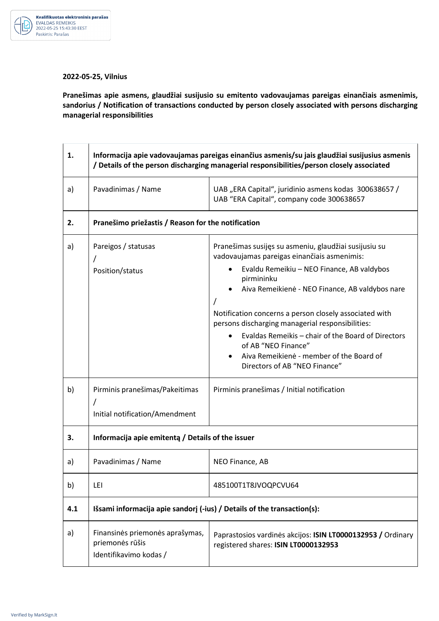

## **2022-05-25, Vilnius**

**Pranešimas apie asmens, glaudžiai susijusio su emitento vadovaujamas pareigas einančiais asmenimis, sandorius / Notification of transactions conducted by person closely associated with persons discharging managerial responsibilities** 

| 1.  | Informacija apie vadovaujamas pareigas einančius asmenis/su jais glaudžiai susijusius asmenis<br>/ Details of the person discharging managerial responsibilities/person closely associated |                                                                                                                                                                                                                         |  |
|-----|--------------------------------------------------------------------------------------------------------------------------------------------------------------------------------------------|-------------------------------------------------------------------------------------------------------------------------------------------------------------------------------------------------------------------------|--|
| a)  | Pavadinimas / Name                                                                                                                                                                         | UAB "ERA Capital", juridinio asmens kodas 300638657 /<br>UAB "ERA Capital", company code 300638657                                                                                                                      |  |
| 2.  | Pranešimo priežastis / Reason for the notification                                                                                                                                         |                                                                                                                                                                                                                         |  |
| a)  | Pareigos / statusas<br>Position/status                                                                                                                                                     | Pranešimas susijęs su asmeniu, glaudžiai susijusiu su<br>vadovaujamas pareigas einančiais asmenimis:<br>Evaldu Remeikiu - NEO Finance, AB valdybos<br>pirmininku                                                        |  |
|     |                                                                                                                                                                                            | Aiva Remeikienė - NEO Finance, AB valdybos nare<br>Notification concerns a person closely associated with                                                                                                               |  |
|     |                                                                                                                                                                                            | persons discharging managerial responsibilities:<br>Evaldas Remeikis - chair of the Board of Directors<br>of AB "NEO Finance"<br>Aiva Remeikienė - member of the Board of<br>$\bullet$<br>Directors of AB "NEO Finance" |  |
| b)  | Pirminis pranešimas/Pakeitimas<br>Initial notification/Amendment                                                                                                                           | Pirminis pranešimas / Initial notification                                                                                                                                                                              |  |
| 3.  | Informacija apie emitenta / Details of the issuer                                                                                                                                          |                                                                                                                                                                                                                         |  |
| a)  | Pavadinimas / Name                                                                                                                                                                         | NEO Finance, AB                                                                                                                                                                                                         |  |
| b)  | LEI                                                                                                                                                                                        | 485100T1T8JVOQPCVU64                                                                                                                                                                                                    |  |
| 4.1 | Išsami informacija apie sandorj (-ius) / Details of the transaction(s):                                                                                                                    |                                                                                                                                                                                                                         |  |
| a)  | Finansinės priemonės aprašymas,<br>priemonės rūšis<br>Identifikavimo kodas /                                                                                                               | Paprastosios vardinės akcijos: ISIN LT0000132953 / Ordinary<br>registered shares: ISIN LT0000132953                                                                                                                     |  |